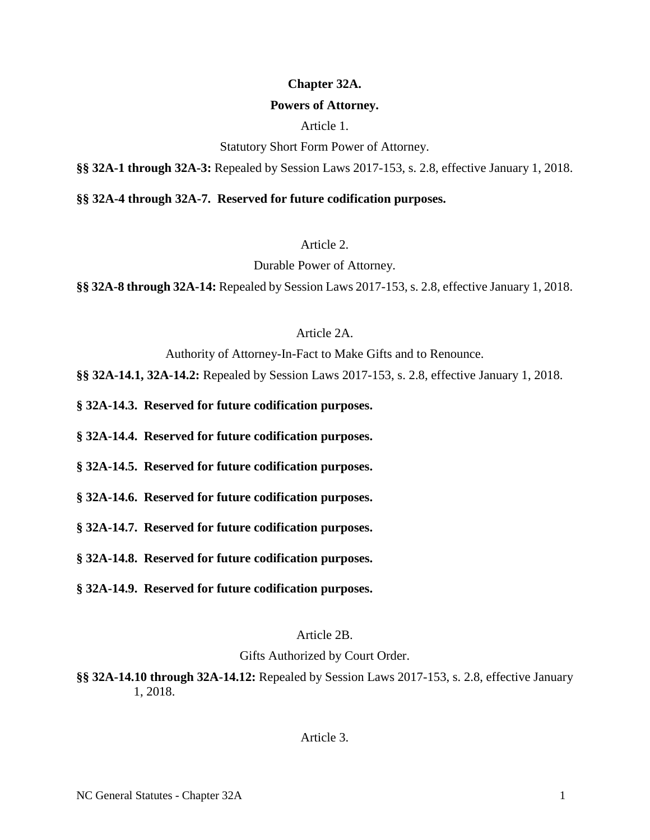#### **Chapter 32A.**

#### **Powers of Attorney.**

#### Article 1.

Statutory Short Form Power of Attorney.

**§§ 32A-1 through 32A-3:** Repealed by Session Laws 2017-153, s. 2.8, effective January 1, 2018.

#### **§§ 32A-4 through 32A-7. Reserved for future codification purposes.**

### Article 2.

Durable Power of Attorney.

**§§ 32A-8 through 32A-14:** Repealed by Session Laws 2017-153, s. 2.8, effective January 1, 2018.

# Article 2A.

Authority of Attorney-In-Fact to Make Gifts and to Renounce.

**§§ 32A-14.1, 32A-14.2:** Repealed by Session Laws 2017-153, s. 2.8, effective January 1, 2018.

- **§ 32A-14.3. Reserved for future codification purposes.**
- **§ 32A-14.4. Reserved for future codification purposes.**
- **§ 32A-14.5. Reserved for future codification purposes.**
- **§ 32A-14.6. Reserved for future codification purposes.**
- **§ 32A-14.7. Reserved for future codification purposes.**
- **§ 32A-14.8. Reserved for future codification purposes.**
- **§ 32A-14.9. Reserved for future codification purposes.**

#### Article 2B.

#### Gifts Authorized by Court Order.

**§§ 32A-14.10 through 32A-14.12:** Repealed by Session Laws 2017-153, s. 2.8, effective January 1, 2018.

### Article 3.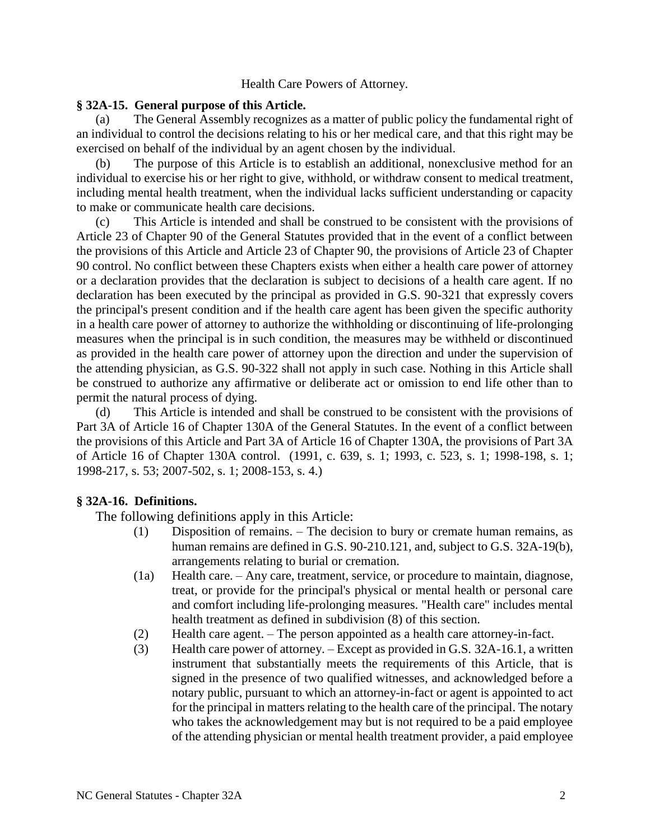#### Health Care Powers of Attorney.

#### **§ 32A-15. General purpose of this Article.**

(a) The General Assembly recognizes as a matter of public policy the fundamental right of an individual to control the decisions relating to his or her medical care, and that this right may be exercised on behalf of the individual by an agent chosen by the individual.

(b) The purpose of this Article is to establish an additional, nonexclusive method for an individual to exercise his or her right to give, withhold, or withdraw consent to medical treatment, including mental health treatment, when the individual lacks sufficient understanding or capacity to make or communicate health care decisions.

(c) This Article is intended and shall be construed to be consistent with the provisions of Article 23 of Chapter 90 of the General Statutes provided that in the event of a conflict between the provisions of this Article and Article 23 of Chapter 90, the provisions of Article 23 of Chapter 90 control. No conflict between these Chapters exists when either a health care power of attorney or a declaration provides that the declaration is subject to decisions of a health care agent. If no declaration has been executed by the principal as provided in G.S. 90-321 that expressly covers the principal's present condition and if the health care agent has been given the specific authority in a health care power of attorney to authorize the withholding or discontinuing of life-prolonging measures when the principal is in such condition, the measures may be withheld or discontinued as provided in the health care power of attorney upon the direction and under the supervision of the attending physician, as G.S. 90-322 shall not apply in such case. Nothing in this Article shall be construed to authorize any affirmative or deliberate act or omission to end life other than to permit the natural process of dying.

(d) This Article is intended and shall be construed to be consistent with the provisions of Part 3A of Article 16 of Chapter 130A of the General Statutes. In the event of a conflict between the provisions of this Article and Part 3A of Article 16 of Chapter 130A, the provisions of Part 3A of Article 16 of Chapter 130A control. (1991, c. 639, s. 1; 1993, c. 523, s. 1; 1998-198, s. 1; 1998-217, s. 53; 2007-502, s. 1; 2008-153, s. 4.)

### **§ 32A-16. Definitions.**

The following definitions apply in this Article:

- (1) Disposition of remains. The decision to bury or cremate human remains, as human remains are defined in G.S. 90-210.121, and, subject to G.S. 32A-19(b), arrangements relating to burial or cremation.
- (1a) Health care. Any care, treatment, service, or procedure to maintain, diagnose, treat, or provide for the principal's physical or mental health or personal care and comfort including life-prolonging measures. "Health care" includes mental health treatment as defined in subdivision (8) of this section.
- (2) Health care agent. The person appointed as a health care attorney-in-fact.
- (3) Health care power of attorney. Except as provided in G.S. 32A-16.1, a written instrument that substantially meets the requirements of this Article, that is signed in the presence of two qualified witnesses, and acknowledged before a notary public, pursuant to which an attorney-in-fact or agent is appointed to act for the principal in matters relating to the health care of the principal. The notary who takes the acknowledgement may but is not required to be a paid employee of the attending physician or mental health treatment provider, a paid employee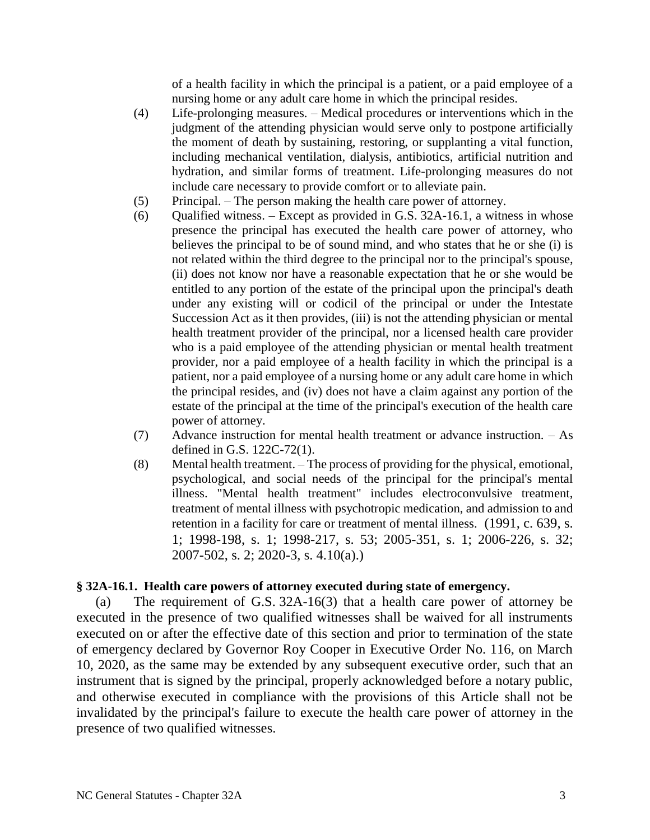of a health facility in which the principal is a patient, or a paid employee of a nursing home or any adult care home in which the principal resides.

- (4) Life-prolonging measures. Medical procedures or interventions which in the judgment of the attending physician would serve only to postpone artificially the moment of death by sustaining, restoring, or supplanting a vital function, including mechanical ventilation, dialysis, antibiotics, artificial nutrition and hydration, and similar forms of treatment. Life-prolonging measures do not include care necessary to provide comfort or to alleviate pain.
- (5) Principal. The person making the health care power of attorney.
- (6) Qualified witness. Except as provided in G.S. 32A-16.1, a witness in whose presence the principal has executed the health care power of attorney, who believes the principal to be of sound mind, and who states that he or she (i) is not related within the third degree to the principal nor to the principal's spouse, (ii) does not know nor have a reasonable expectation that he or she would be entitled to any portion of the estate of the principal upon the principal's death under any existing will or codicil of the principal or under the Intestate Succession Act as it then provides, (iii) is not the attending physician or mental health treatment provider of the principal, nor a licensed health care provider who is a paid employee of the attending physician or mental health treatment provider, nor a paid employee of a health facility in which the principal is a patient, nor a paid employee of a nursing home or any adult care home in which the principal resides, and (iv) does not have a claim against any portion of the estate of the principal at the time of the principal's execution of the health care power of attorney.
- (7) Advance instruction for mental health treatment or advance instruction. As defined in G.S. 122C-72(1).
- (8) Mental health treatment. The process of providing for the physical, emotional, psychological, and social needs of the principal for the principal's mental illness. "Mental health treatment" includes electroconvulsive treatment, treatment of mental illness with psychotropic medication, and admission to and retention in a facility for care or treatment of mental illness. (1991, c. 639, s. 1; 1998-198, s. 1; 1998-217, s. 53; 2005-351, s. 1; 2006-226, s. 32; 2007-502, s. 2; 2020-3, s. 4.10(a).)

# **§ 32A-16.1. Health care powers of attorney executed during state of emergency.**

(a) The requirement of G.S. 32A-16(3) that a health care power of attorney be executed in the presence of two qualified witnesses shall be waived for all instruments executed on or after the effective date of this section and prior to termination of the state of emergency declared by Governor Roy Cooper in Executive Order No. 116, on March 10, 2020, as the same may be extended by any subsequent executive order, such that an instrument that is signed by the principal, properly acknowledged before a notary public, and otherwise executed in compliance with the provisions of this Article shall not be invalidated by the principal's failure to execute the health care power of attorney in the presence of two qualified witnesses.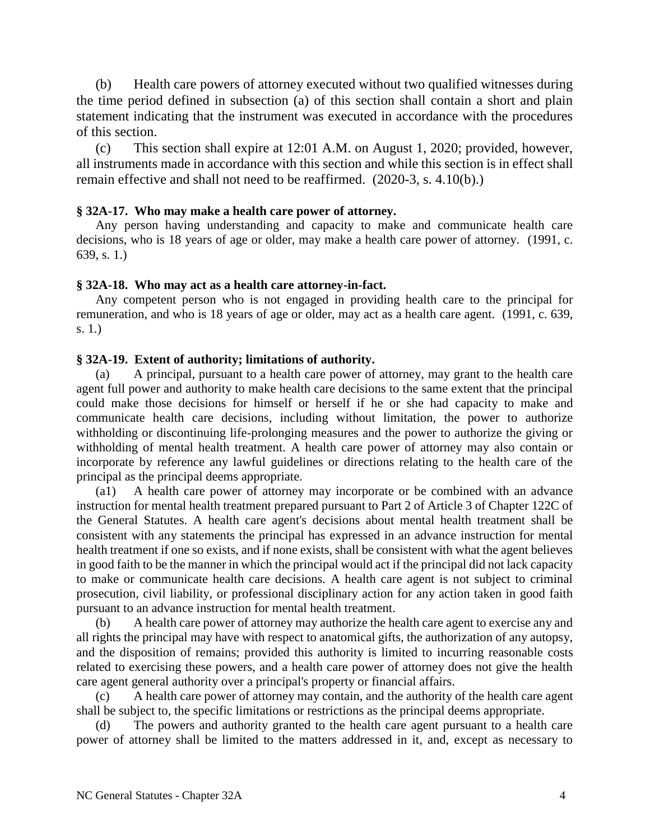(b) Health care powers of attorney executed without two qualified witnesses during the time period defined in subsection (a) of this section shall contain a short and plain statement indicating that the instrument was executed in accordance with the procedures of this section.

(c) This section shall expire at 12:01 A.M. on August 1, 2020; provided, however, all instruments made in accordance with this section and while this section is in effect shall remain effective and shall not need to be reaffirmed. (2020-3, s. 4.10(b).)

### **§ 32A-17. Who may make a health care power of attorney.**

Any person having understanding and capacity to make and communicate health care decisions, who is 18 years of age or older, may make a health care power of attorney. (1991, c. 639, s. 1.)

#### **§ 32A-18. Who may act as a health care attorney-in-fact.**

Any competent person who is not engaged in providing health care to the principal for remuneration, and who is 18 years of age or older, may act as a health care agent. (1991, c. 639, s. 1.)

### **§ 32A-19. Extent of authority; limitations of authority.**

A principal, pursuant to a health care power of attorney, may grant to the health care agent full power and authority to make health care decisions to the same extent that the principal could make those decisions for himself or herself if he or she had capacity to make and communicate health care decisions, including without limitation, the power to authorize withholding or discontinuing life-prolonging measures and the power to authorize the giving or withholding of mental health treatment. A health care power of attorney may also contain or incorporate by reference any lawful guidelines or directions relating to the health care of the principal as the principal deems appropriate.

(a1) A health care power of attorney may incorporate or be combined with an advance instruction for mental health treatment prepared pursuant to Part 2 of Article 3 of Chapter 122C of the General Statutes. A health care agent's decisions about mental health treatment shall be consistent with any statements the principal has expressed in an advance instruction for mental health treatment if one so exists, and if none exists, shall be consistent with what the agent believes in good faith to be the manner in which the principal would act if the principal did not lack capacity to make or communicate health care decisions. A health care agent is not subject to criminal prosecution, civil liability, or professional disciplinary action for any action taken in good faith pursuant to an advance instruction for mental health treatment.

(b) A health care power of attorney may authorize the health care agent to exercise any and all rights the principal may have with respect to anatomical gifts, the authorization of any autopsy, and the disposition of remains; provided this authority is limited to incurring reasonable costs related to exercising these powers, and a health care power of attorney does not give the health care agent general authority over a principal's property or financial affairs.

(c) A health care power of attorney may contain, and the authority of the health care agent shall be subject to, the specific limitations or restrictions as the principal deems appropriate.

(d) The powers and authority granted to the health care agent pursuant to a health care power of attorney shall be limited to the matters addressed in it, and, except as necessary to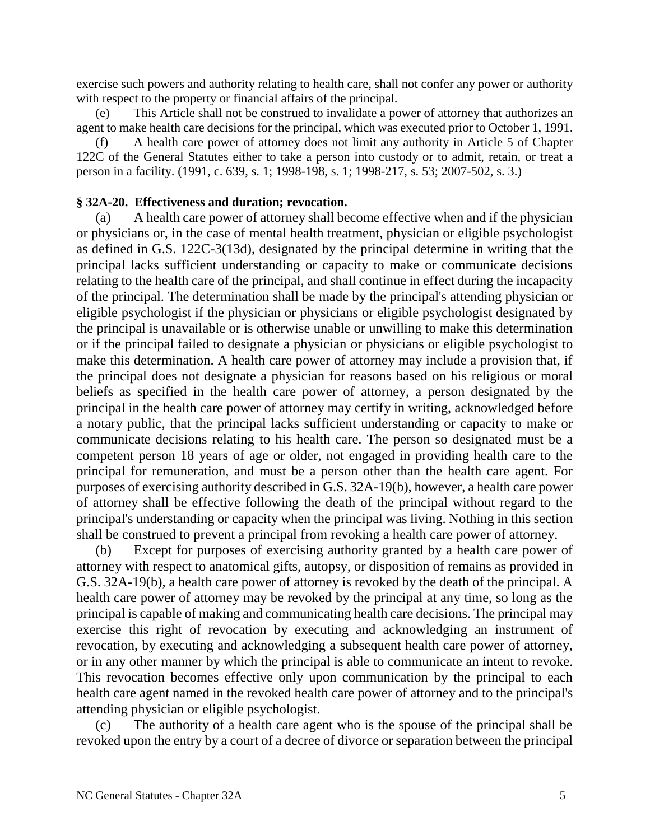exercise such powers and authority relating to health care, shall not confer any power or authority with respect to the property or financial affairs of the principal.

(e) This Article shall not be construed to invalidate a power of attorney that authorizes an agent to make health care decisions for the principal, which was executed prior to October 1, 1991.

(f) A health care power of attorney does not limit any authority in Article 5 of Chapter 122C of the General Statutes either to take a person into custody or to admit, retain, or treat a person in a facility. (1991, c. 639, s. 1; 1998-198, s. 1; 1998-217, s. 53; 2007-502, s. 3.)

### **§ 32A-20. Effectiveness and duration; revocation.**

(a) A health care power of attorney shall become effective when and if the physician or physicians or, in the case of mental health treatment, physician or eligible psychologist as defined in G.S. 122C-3(13d), designated by the principal determine in writing that the principal lacks sufficient understanding or capacity to make or communicate decisions relating to the health care of the principal, and shall continue in effect during the incapacity of the principal. The determination shall be made by the principal's attending physician or eligible psychologist if the physician or physicians or eligible psychologist designated by the principal is unavailable or is otherwise unable or unwilling to make this determination or if the principal failed to designate a physician or physicians or eligible psychologist to make this determination. A health care power of attorney may include a provision that, if the principal does not designate a physician for reasons based on his religious or moral beliefs as specified in the health care power of attorney, a person designated by the principal in the health care power of attorney may certify in writing, acknowledged before a notary public, that the principal lacks sufficient understanding or capacity to make or communicate decisions relating to his health care. The person so designated must be a competent person 18 years of age or older, not engaged in providing health care to the principal for remuneration, and must be a person other than the health care agent. For purposes of exercising authority described in G.S. 32A-19(b), however, a health care power of attorney shall be effective following the death of the principal without regard to the principal's understanding or capacity when the principal was living. Nothing in this section shall be construed to prevent a principal from revoking a health care power of attorney.

(b) Except for purposes of exercising authority granted by a health care power of attorney with respect to anatomical gifts, autopsy, or disposition of remains as provided in G.S. 32A-19(b), a health care power of attorney is revoked by the death of the principal. A health care power of attorney may be revoked by the principal at any time, so long as the principal is capable of making and communicating health care decisions. The principal may exercise this right of revocation by executing and acknowledging an instrument of revocation, by executing and acknowledging a subsequent health care power of attorney, or in any other manner by which the principal is able to communicate an intent to revoke. This revocation becomes effective only upon communication by the principal to each health care agent named in the revoked health care power of attorney and to the principal's attending physician or eligible psychologist.

(c) The authority of a health care agent who is the spouse of the principal shall be revoked upon the entry by a court of a decree of divorce or separation between the principal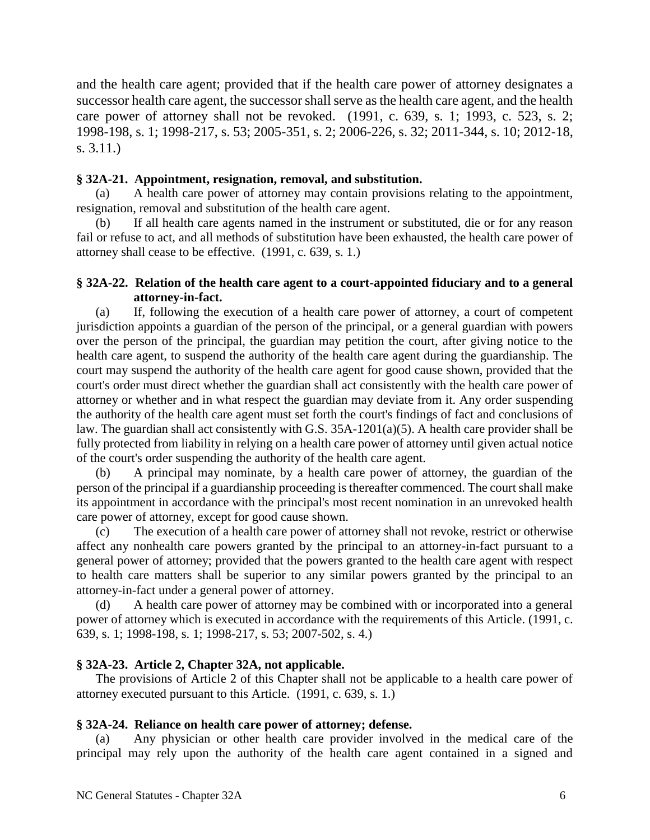and the health care agent; provided that if the health care power of attorney designates a successor health care agent, the successor shall serve as the health care agent, and the health care power of attorney shall not be revoked. (1991, c. 639, s. 1; 1993, c. 523, s. 2; 1998-198, s. 1; 1998-217, s. 53; 2005-351, s. 2; 2006-226, s. 32; 2011-344, s. 10; 2012-18, s. 3.11.)

# **§ 32A-21. Appointment, resignation, removal, and substitution.**

(a) A health care power of attorney may contain provisions relating to the appointment, resignation, removal and substitution of the health care agent.

(b) If all health care agents named in the instrument or substituted, die or for any reason fail or refuse to act, and all methods of substitution have been exhausted, the health care power of attorney shall cease to be effective. (1991, c. 639, s. 1.)

# **§ 32A-22. Relation of the health care agent to a court-appointed fiduciary and to a general attorney-in-fact.**

(a) If, following the execution of a health care power of attorney, a court of competent jurisdiction appoints a guardian of the person of the principal, or a general guardian with powers over the person of the principal, the guardian may petition the court, after giving notice to the health care agent, to suspend the authority of the health care agent during the guardianship. The court may suspend the authority of the health care agent for good cause shown, provided that the court's order must direct whether the guardian shall act consistently with the health care power of attorney or whether and in what respect the guardian may deviate from it. Any order suspending the authority of the health care agent must set forth the court's findings of fact and conclusions of law. The guardian shall act consistently with G.S. 35A-1201(a)(5). A health care provider shall be fully protected from liability in relying on a health care power of attorney until given actual notice of the court's order suspending the authority of the health care agent.

(b) A principal may nominate, by a health care power of attorney, the guardian of the person of the principal if a guardianship proceeding is thereafter commenced. The court shall make its appointment in accordance with the principal's most recent nomination in an unrevoked health care power of attorney, except for good cause shown.

(c) The execution of a health care power of attorney shall not revoke, restrict or otherwise affect any nonhealth care powers granted by the principal to an attorney-in-fact pursuant to a general power of attorney; provided that the powers granted to the health care agent with respect to health care matters shall be superior to any similar powers granted by the principal to an attorney-in-fact under a general power of attorney.

(d) A health care power of attorney may be combined with or incorporated into a general power of attorney which is executed in accordance with the requirements of this Article. (1991, c. 639, s. 1; 1998-198, s. 1; 1998-217, s. 53; 2007-502, s. 4.)

# **§ 32A-23. Article 2, Chapter 32A, not applicable.**

The provisions of Article 2 of this Chapter shall not be applicable to a health care power of attorney executed pursuant to this Article. (1991, c. 639, s. 1.)

# **§ 32A-24. Reliance on health care power of attorney; defense.**

(a) Any physician or other health care provider involved in the medical care of the principal may rely upon the authority of the health care agent contained in a signed and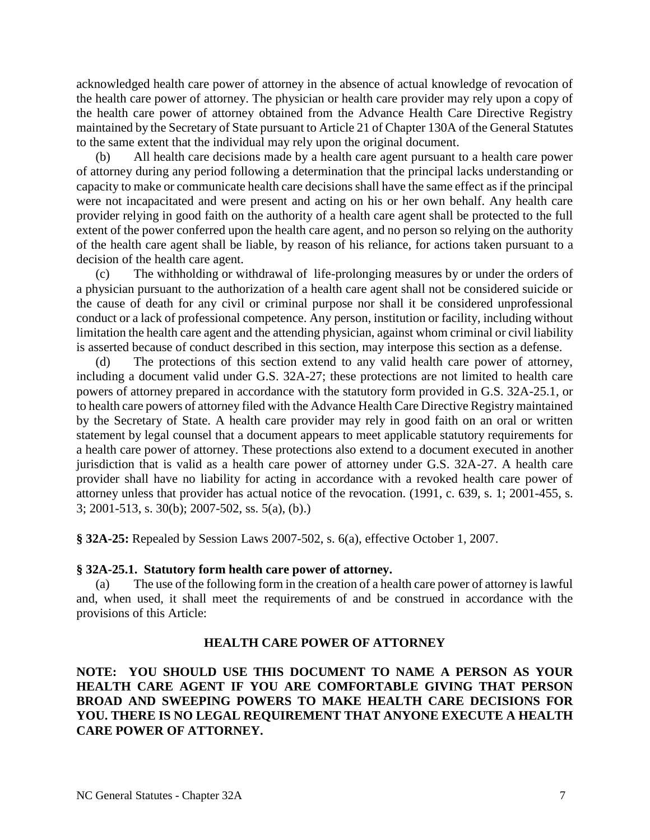acknowledged health care power of attorney in the absence of actual knowledge of revocation of the health care power of attorney. The physician or health care provider may rely upon a copy of the health care power of attorney obtained from the Advance Health Care Directive Registry maintained by the Secretary of State pursuant to Article 21 of Chapter 130A of the General Statutes to the same extent that the individual may rely upon the original document.

(b) All health care decisions made by a health care agent pursuant to a health care power of attorney during any period following a determination that the principal lacks understanding or capacity to make or communicate health care decisions shall have the same effect as if the principal were not incapacitated and were present and acting on his or her own behalf. Any health care provider relying in good faith on the authority of a health care agent shall be protected to the full extent of the power conferred upon the health care agent, and no person so relying on the authority of the health care agent shall be liable, by reason of his reliance, for actions taken pursuant to a decision of the health care agent.

(c) The withholding or withdrawal of life-prolonging measures by or under the orders of a physician pursuant to the authorization of a health care agent shall not be considered suicide or the cause of death for any civil or criminal purpose nor shall it be considered unprofessional conduct or a lack of professional competence. Any person, institution or facility, including without limitation the health care agent and the attending physician, against whom criminal or civil liability is asserted because of conduct described in this section, may interpose this section as a defense.

(d) The protections of this section extend to any valid health care power of attorney, including a document valid under G.S. 32A-27; these protections are not limited to health care powers of attorney prepared in accordance with the statutory form provided in G.S. 32A-25.1, or to health care powers of attorney filed with the Advance Health Care Directive Registry maintained by the Secretary of State. A health care provider may rely in good faith on an oral or written statement by legal counsel that a document appears to meet applicable statutory requirements for a health care power of attorney. These protections also extend to a document executed in another jurisdiction that is valid as a health care power of attorney under G.S. 32A-27. A health care provider shall have no liability for acting in accordance with a revoked health care power of attorney unless that provider has actual notice of the revocation. (1991, c. 639, s. 1; 2001-455, s. 3; 2001-513, s. 30(b); 2007-502, ss. 5(a), (b).)

**§ 32A-25:** Repealed by Session Laws 2007-502, s. 6(a), effective October 1, 2007.

### **§ 32A-25.1. Statutory form health care power of attorney.**

(a) The use of the following form in the creation of a health care power of attorney is lawful and, when used, it shall meet the requirements of and be construed in accordance with the provisions of this Article:

### **HEALTH CARE POWER OF ATTORNEY**

**NOTE: YOU SHOULD USE THIS DOCUMENT TO NAME A PERSON AS YOUR HEALTH CARE AGENT IF YOU ARE COMFORTABLE GIVING THAT PERSON BROAD AND SWEEPING POWERS TO MAKE HEALTH CARE DECISIONS FOR YOU. THERE IS NO LEGAL REQUIREMENT THAT ANYONE EXECUTE A HEALTH CARE POWER OF ATTORNEY.**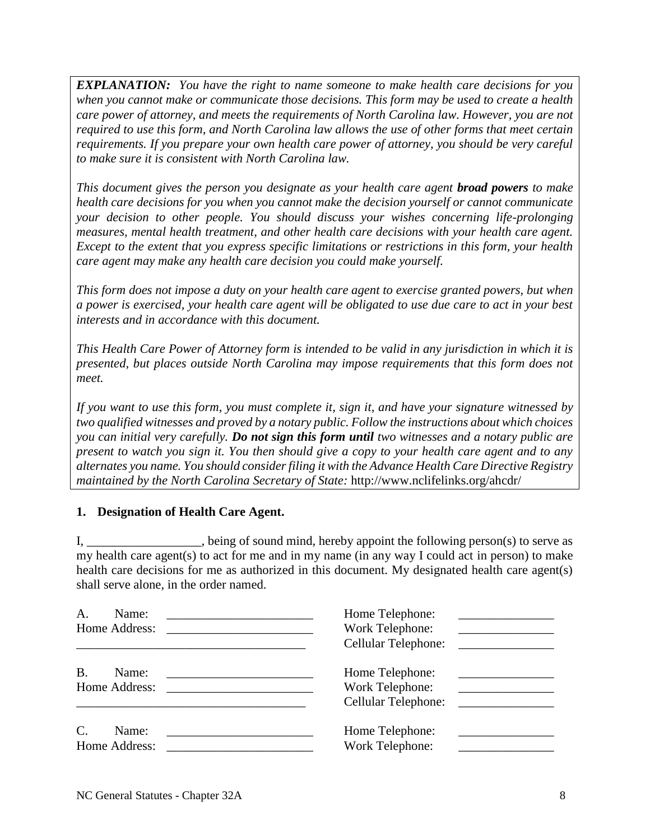*EXPLANATION: You have the right to name someone to make health care decisions for you when you cannot make or communicate those decisions. This form may be used to create a health care power of attorney, and meets the requirements of North Carolina law. However, you are not required to use this form, and North Carolina law allows the use of other forms that meet certain requirements. If you prepare your own health care power of attorney, you should be very careful to make sure it is consistent with North Carolina law.*

*This document gives the person you designate as your health care agent broad powers to make health care decisions for you when you cannot make the decision yourself or cannot communicate your decision to other people. You should discuss your wishes concerning life-prolonging measures, mental health treatment, and other health care decisions with your health care agent. Except to the extent that you express specific limitations or restrictions in this form, your health care agent may make any health care decision you could make yourself.*

*This form does not impose a duty on your health care agent to exercise granted powers, but when a power is exercised, your health care agent will be obligated to use due care to act in your best interests and in accordance with this document.*

*This Health Care Power of Attorney form is intended to be valid in any jurisdiction in which it is presented, but places outside North Carolina may impose requirements that this form does not meet.*

*If you want to use this form, you must complete it, sign it, and have your signature witnessed by two qualified witnesses and proved by a notary public. Follow the instructions about which choices you can initial very carefully. Do not sign this form until two witnesses and a notary public are present to watch you sign it. You then should give a copy to your health care agent and to any alternates you name. You should consider filing it with the Advance Health Care Directive Registry maintained by the North Carolina Secretary of State:* http://www.nclifelinks.org/ahcdr/

# **1. Designation of Health Care Agent.**

I, \_\_\_\_\_\_\_\_\_\_\_\_\_\_\_, being of sound mind, hereby appoint the following person(s) to serve as my health care agent(s) to act for me and in my name (in any way I could act in person) to make health care decisions for me as authorized in this document. My designated health care agent(s) shall serve alone, in the order named.

| Α.<br>Name:<br>Home Address:                                                                                                                          | Home Telephone:<br>Work Telephone:<br><u> 1980 - Andrea Andrew Maria (b. 1980)</u><br>Cellular Telephone:<br><u> Alexandria (m. 1888)</u> |
|-------------------------------------------------------------------------------------------------------------------------------------------------------|-------------------------------------------------------------------------------------------------------------------------------------------|
| <b>B.</b><br>Name:<br>the control of the control of the control of the control of the control of the control of<br>Home Address:                      | Home Telephone:<br>Work Telephone:<br>Cellular Telephone:                                                                                 |
| C.<br>Name:<br><u> 1980 - Johann Harry Harry Harry Harry Harry Harry Harry Harry Harry Harry Harry Harry Harry Harry Harry Harry</u><br>Home Address: | Home Telephone:<br><u> 1980 - Andrea American, president altre</u><br>Work Telephone:                                                     |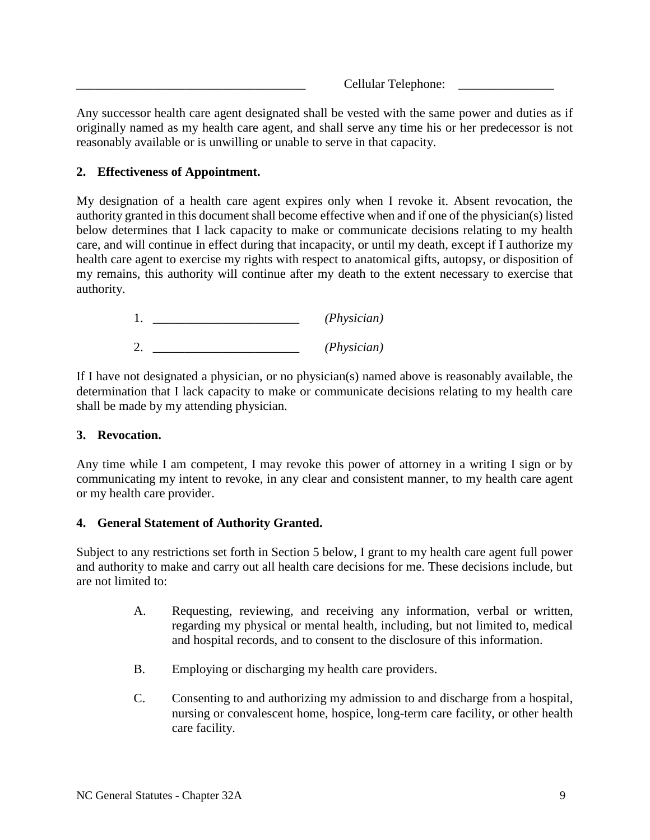Cellular Telephone:

Any successor health care agent designated shall be vested with the same power and duties as if originally named as my health care agent, and shall serve any time his or her predecessor is not reasonably available or is unwilling or unable to serve in that capacity.

# **2. Effectiveness of Appointment.**

My designation of a health care agent expires only when I revoke it. Absent revocation, the authority granted in this document shall become effective when and if one of the physician(s) listed below determines that I lack capacity to make or communicate decisions relating to my health care, and will continue in effect during that incapacity, or until my death, except if I authorize my health care agent to exercise my rights with respect to anatomical gifts, autopsy, or disposition of my remains, this authority will continue after my death to the extent necessary to exercise that authority.

> 1. \_\_\_\_\_\_\_\_\_\_\_\_\_\_\_\_\_\_\_\_\_\_\_ *(Physician)* 2. \_\_\_\_\_\_\_\_\_\_\_\_\_\_\_\_\_\_\_\_\_\_\_ *(Physician)*

If I have not designated a physician, or no physician(s) named above is reasonably available, the determination that I lack capacity to make or communicate decisions relating to my health care shall be made by my attending physician.

# **3. Revocation.**

Any time while I am competent, I may revoke this power of attorney in a writing I sign or by communicating my intent to revoke, in any clear and consistent manner, to my health care agent or my health care provider.

# **4. General Statement of Authority Granted.**

Subject to any restrictions set forth in Section 5 below, I grant to my health care agent full power and authority to make and carry out all health care decisions for me. These decisions include, but are not limited to:

- A. Requesting, reviewing, and receiving any information, verbal or written, regarding my physical or mental health, including, but not limited to, medical and hospital records, and to consent to the disclosure of this information.
- B. Employing or discharging my health care providers.
- C. Consenting to and authorizing my admission to and discharge from a hospital, nursing or convalescent home, hospice, long-term care facility, or other health care facility.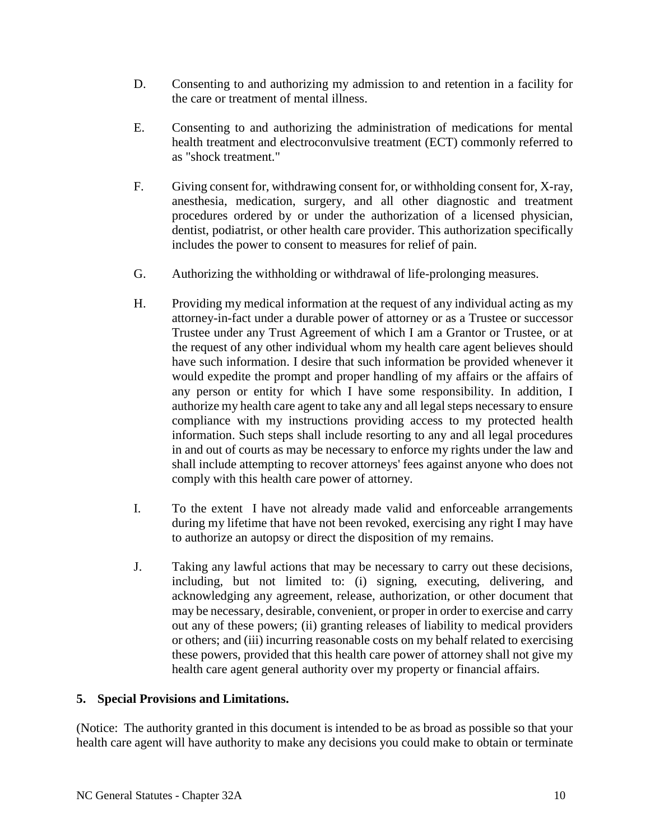- D. Consenting to and authorizing my admission to and retention in a facility for the care or treatment of mental illness.
- E. Consenting to and authorizing the administration of medications for mental health treatment and electroconvulsive treatment (ECT) commonly referred to as "shock treatment."
- F. Giving consent for, withdrawing consent for, or withholding consent for, X-ray, anesthesia, medication, surgery, and all other diagnostic and treatment procedures ordered by or under the authorization of a licensed physician, dentist, podiatrist, or other health care provider. This authorization specifically includes the power to consent to measures for relief of pain.
- G. Authorizing the withholding or withdrawal of life-prolonging measures.
- H. Providing my medical information at the request of any individual acting as my attorney-in-fact under a durable power of attorney or as a Trustee or successor Trustee under any Trust Agreement of which I am a Grantor or Trustee, or at the request of any other individual whom my health care agent believes should have such information. I desire that such information be provided whenever it would expedite the prompt and proper handling of my affairs or the affairs of any person or entity for which I have some responsibility. In addition, I authorize my health care agent to take any and all legal steps necessary to ensure compliance with my instructions providing access to my protected health information. Such steps shall include resorting to any and all legal procedures in and out of courts as may be necessary to enforce my rights under the law and shall include attempting to recover attorneys' fees against anyone who does not comply with this health care power of attorney.
- I. To the extent I have not already made valid and enforceable arrangements during my lifetime that have not been revoked, exercising any right I may have to authorize an autopsy or direct the disposition of my remains.
- J. Taking any lawful actions that may be necessary to carry out these decisions, including, but not limited to: (i) signing, executing, delivering, and acknowledging any agreement, release, authorization, or other document that may be necessary, desirable, convenient, or proper in order to exercise and carry out any of these powers; (ii) granting releases of liability to medical providers or others; and (iii) incurring reasonable costs on my behalf related to exercising these powers, provided that this health care power of attorney shall not give my health care agent general authority over my property or financial affairs.

# **5. Special Provisions and Limitations.**

(Notice: The authority granted in this document is intended to be as broad as possible so that your health care agent will have authority to make any decisions you could make to obtain or terminate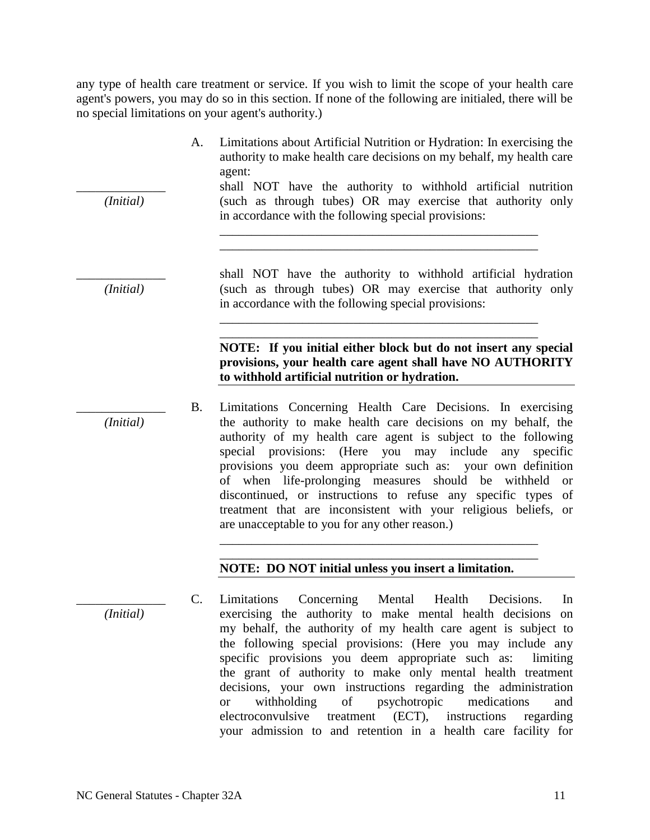any type of health care treatment or service. If you wish to limit the scope of your health care agent's powers, you may do so in this section. If none of the following are initialed, there will be no special limitations on your agent's authority.)

- A. Limitations about Artificial Nutrition or Hydration: In exercising the authority to make health care decisions on my behalf, my health care agent:
- shall NOT have the authority to withhold artificial nutrition *(Initial)* (such as through tubes) OR may exercise that authority only in accordance with the following special provisions:

\_\_\_\_\_\_\_\_\_\_\_\_\_\_\_\_\_\_\_\_\_\_\_\_\_\_\_\_\_\_\_\_\_\_\_\_\_\_\_\_\_\_\_\_\_\_\_\_\_\_ \_\_\_\_\_\_\_\_\_\_\_\_\_\_\_\_\_\_\_\_\_\_\_\_\_\_\_\_\_\_\_\_\_\_\_\_\_\_\_\_\_\_\_\_\_\_\_\_\_\_

\_\_\_\_\_\_\_\_\_\_\_\_\_\_\_\_\_\_\_\_\_\_\_\_\_\_\_\_\_\_\_\_\_\_\_\_\_\_\_\_\_\_\_\_\_\_\_\_\_\_ \_\_\_\_\_\_\_\_\_\_\_\_\_\_\_\_\_\_\_\_\_\_\_\_\_\_\_\_\_\_\_\_\_\_\_\_\_\_\_\_\_\_\_\_\_\_\_\_\_\_

shall NOT have the authority to withhold artificial hydration *(Initial)* (such as through tubes) OR may exercise that authority only in accordance with the following special provisions:

### **NOTE: If you initial either block but do not insert any special provisions, your health care agent shall have NO AUTHORITY to withhold artificial nutrition or hydration.**

B. Limitations Concerning Health Care Decisions. In exercising *(Initial)* the authority to make health care decisions on my behalf, the authority of my health care agent is subject to the following special provisions: (Here you may include any specific provisions you deem appropriate such as: your own definition of when life-prolonging measures should be withheld or discontinued, or instructions to refuse any specific types of treatment that are inconsistent with your religious beliefs, or are unacceptable to you for any other reason.)

> \_\_\_\_\_\_\_\_\_\_\_\_\_\_\_\_\_\_\_\_\_\_\_\_\_\_\_\_\_\_\_\_\_\_\_\_\_\_\_\_\_\_\_\_\_\_\_\_\_\_ \_\_\_\_\_\_\_\_\_\_\_\_\_\_\_\_\_\_\_\_\_\_\_\_\_\_\_\_\_\_\_\_\_\_\_\_\_\_\_\_\_\_\_\_\_\_\_\_\_\_

# **NOTE: DO NOT initial unless you insert a limitation.**

\_\_\_\_\_\_\_\_\_\_\_\_\_\_ C. Limitations Concerning Mental Health Decisions. In *(Initial)* exercising the authority to make mental health decisions on my behalf, the authority of my health care agent is subject to the following special provisions: (Here you may include any specific provisions you deem appropriate such as: limiting the grant of authority to make only mental health treatment decisions, your own instructions regarding the administration or withholding of psychotropic medications and electroconvulsive treatment (ECT), instructions regarding your admission to and retention in a health care facility for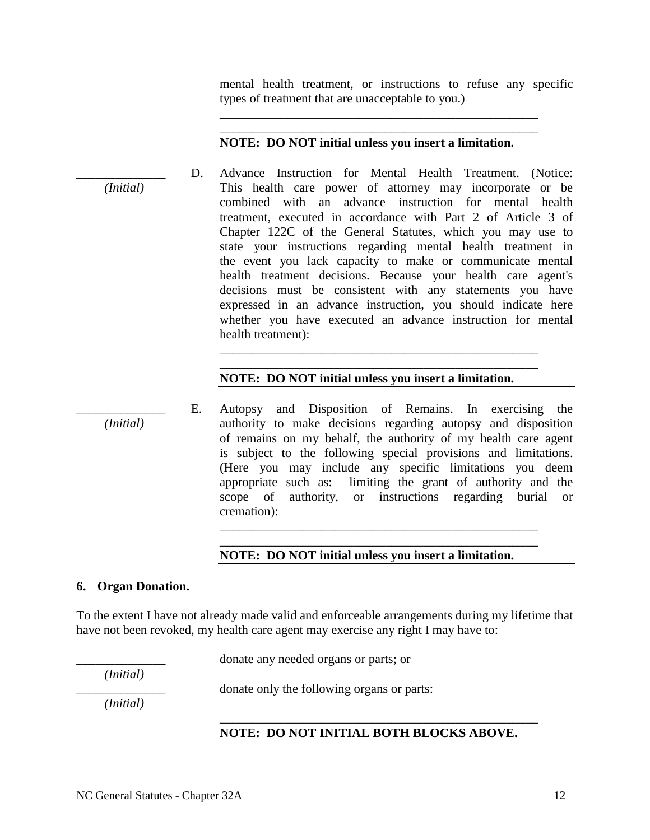mental health treatment, or instructions to refuse any specific types of treatment that are unacceptable to you.)

### **NOTE: DO NOT initial unless you insert a limitation.**

\_\_\_\_\_\_\_\_\_\_\_\_\_\_\_\_\_\_\_\_\_\_\_\_\_\_\_\_\_\_\_\_\_\_\_\_\_\_\_\_\_\_\_\_\_\_\_\_\_\_ \_\_\_\_\_\_\_\_\_\_\_\_\_\_\_\_\_\_\_\_\_\_\_\_\_\_\_\_\_\_\_\_\_\_\_\_\_\_\_\_\_\_\_\_\_\_\_\_\_\_

D. Advance Instruction for Mental Health Treatment. (Notice: *(Initial)* This health care power of attorney may incorporate or be combined with an advance instruction for mental health treatment, executed in accordance with Part 2 of Article 3 of Chapter 122C of the General Statutes, which you may use to state your instructions regarding mental health treatment in the event you lack capacity to make or communicate mental health treatment decisions. Because your health care agent's decisions must be consistent with any statements you have expressed in an advance instruction, you should indicate here whether you have executed an advance instruction for mental health treatment): \_\_\_\_\_\_\_\_\_\_\_\_\_\_\_\_\_\_\_\_\_\_\_\_\_\_\_\_\_\_\_\_\_\_\_\_\_\_\_\_\_\_\_\_\_\_\_\_\_\_

#### **NOTE: DO NOT initial unless you insert a limitation.**

\_\_\_\_\_\_\_\_\_\_\_\_\_\_\_\_\_\_\_\_\_\_\_\_\_\_\_\_\_\_\_\_\_\_\_\_\_\_\_\_\_\_\_\_\_\_\_\_\_\_

E. Autopsy and Disposition of Remains. In exercising the *(Initial)* authority to make decisions regarding autopsy and disposition of remains on my behalf, the authority of my health care agent is subject to the following special provisions and limitations. (Here you may include any specific limitations you deem appropriate such as: limiting the grant of authority and the scope of authority, or instructions regarding burial or cremation):

### **NOTE: DO NOT initial unless you insert a limitation.**

\_\_\_\_\_\_\_\_\_\_\_\_\_\_\_\_\_\_\_\_\_\_\_\_\_\_\_\_\_\_\_\_\_\_\_\_\_\_\_\_\_\_\_\_\_\_\_\_\_\_ \_\_\_\_\_\_\_\_\_\_\_\_\_\_\_\_\_\_\_\_\_\_\_\_\_\_\_\_\_\_\_\_\_\_\_\_\_\_\_\_\_\_\_\_\_\_\_\_\_\_

### **6. Organ Donation.**

To the extent I have not already made valid and enforceable arrangements during my lifetime that have not been revoked, my health care agent may exercise any right I may have to:

donate any needed organs or parts; or

*(Initial)*

\_\_\_\_\_\_\_\_\_\_\_\_\_\_ donate only the following organs or parts:

*(Initial)*

### **NOTE: DO NOT INITIAL BOTH BLOCKS ABOVE.**

\_\_\_\_\_\_\_\_\_\_\_\_\_\_\_\_\_\_\_\_\_\_\_\_\_\_\_\_\_\_\_\_\_\_\_\_\_\_\_\_\_\_\_\_\_\_\_\_\_\_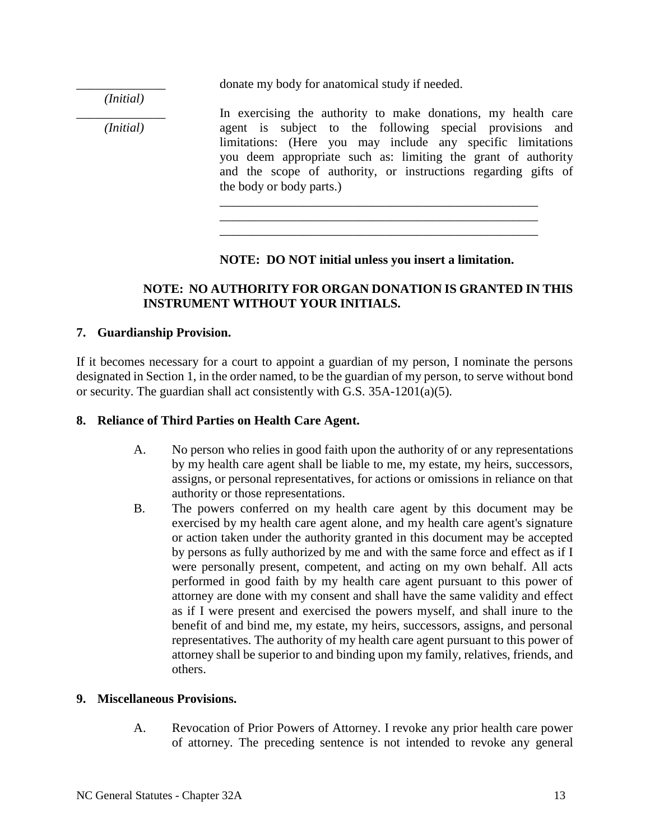\_\_\_\_\_\_\_\_\_\_\_\_\_\_ donate my body for anatomical study if needed.

*(Initial)*

In exercising the authority to make donations, my health care *(Initial)* agent is subject to the following special provisions and limitations: (Here you may include any specific limitations you deem appropriate such as: limiting the grant of authority and the scope of authority, or instructions regarding gifts of the body or body parts.)

# **NOTE: DO NOT initial unless you insert a limitation.**

\_\_\_\_\_\_\_\_\_\_\_\_\_\_\_\_\_\_\_\_\_\_\_\_\_\_\_\_\_\_\_\_\_\_\_\_\_\_\_\_\_\_\_\_\_\_\_\_\_\_ \_\_\_\_\_\_\_\_\_\_\_\_\_\_\_\_\_\_\_\_\_\_\_\_\_\_\_\_\_\_\_\_\_\_\_\_\_\_\_\_\_\_\_\_\_\_\_\_\_\_ \_\_\_\_\_\_\_\_\_\_\_\_\_\_\_\_\_\_\_\_\_\_\_\_\_\_\_\_\_\_\_\_\_\_\_\_\_\_\_\_\_\_\_\_\_\_\_\_\_\_

# **NOTE: NO AUTHORITY FOR ORGAN DONATION IS GRANTED IN THIS INSTRUMENT WITHOUT YOUR INITIALS.**

# **7. Guardianship Provision.**

If it becomes necessary for a court to appoint a guardian of my person, I nominate the persons designated in Section 1, in the order named, to be the guardian of my person, to serve without bond or security. The guardian shall act consistently with G.S. 35A-1201(a)(5).

### **8. Reliance of Third Parties on Health Care Agent.**

- A. No person who relies in good faith upon the authority of or any representations by my health care agent shall be liable to me, my estate, my heirs, successors, assigns, or personal representatives, for actions or omissions in reliance on that authority or those representations.
- B. The powers conferred on my health care agent by this document may be exercised by my health care agent alone, and my health care agent's signature or action taken under the authority granted in this document may be accepted by persons as fully authorized by me and with the same force and effect as if I were personally present, competent, and acting on my own behalf. All acts performed in good faith by my health care agent pursuant to this power of attorney are done with my consent and shall have the same validity and effect as if I were present and exercised the powers myself, and shall inure to the benefit of and bind me, my estate, my heirs, successors, assigns, and personal representatives. The authority of my health care agent pursuant to this power of attorney shall be superior to and binding upon my family, relatives, friends, and others.

### **9. Miscellaneous Provisions.**

A. Revocation of Prior Powers of Attorney. I revoke any prior health care power of attorney. The preceding sentence is not intended to revoke any general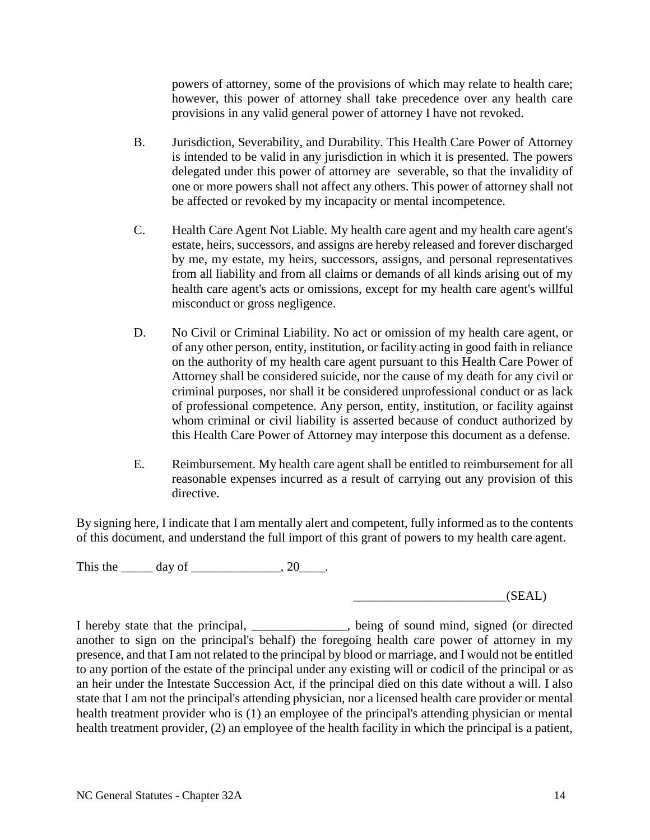powers of attorney, some of the provisions of which may relate to health care; however, this power of attorney shall take precedence over any health care provisions in any valid general power of attorney I have not revoked.

- B. Jurisdiction, Severability, and Durability. This Health Care Power of Attorney is intended to be valid in any jurisdiction in which it is presented. The powers delegated under this power of attorney are severable, so that the invalidity of one or more powers shall not affect any others. This power of attorney shall not be affected or revoked by my incapacity or mental incompetence.
- C. Health Care Agent Not Liable. My health care agent and my health care agent's estate, heirs, successors, and assigns are hereby released and forever discharged by me, my estate, my heirs, successors, assigns, and personal representatives from all liability and from all claims or demands of all kinds arising out of my health care agent's acts or omissions, except for my health care agent's willful misconduct or gross negligence.
- D. No Civil or Criminal Liability. No act or omission of my health care agent, or of any other person, entity, institution, or facility acting in good faith in reliance on the authority of my health care agent pursuant to this Health Care Power of Attorney shall be considered suicide, nor the cause of my death for any civil or criminal purposes, nor shall it be considered unprofessional conduct or as lack of professional competence. Any person, entity, institution, or facility against whom criminal or civil liability is asserted because of conduct authorized by this Health Care Power of Attorney may interpose this document as a defense.
- E. Reimbursement. My health care agent shall be entitled to reimbursement for all reasonable expenses incurred as a result of carrying out any provision of this directive.

By signing here, I indicate that I am mentally alert and competent, fully informed as to the contents of this document, and understand the full import of this grant of powers to my health care agent.

This the  $\qquad \qquad \text{day of} \qquad \qquad .20 \qquad .$ 

 $(SEAL)$ 

I hereby state that the principal, being of sound mind, signed (or directed another to sign on the principal's behalf) the foregoing health care power of attorney in my presence, and that I am not related to the principal by blood or marriage, and I would not be entitled to any portion of the estate of the principal under any existing will or codicil of the principal or as an heir under the Intestate Succession Act, if the principal died on this date without a will. I also state that I am not the principal's attending physician, nor a licensed health care provider or mental health treatment provider who is (1) an employee of the principal's attending physician or mental health treatment provider, (2) an employee of the health facility in which the principal is a patient,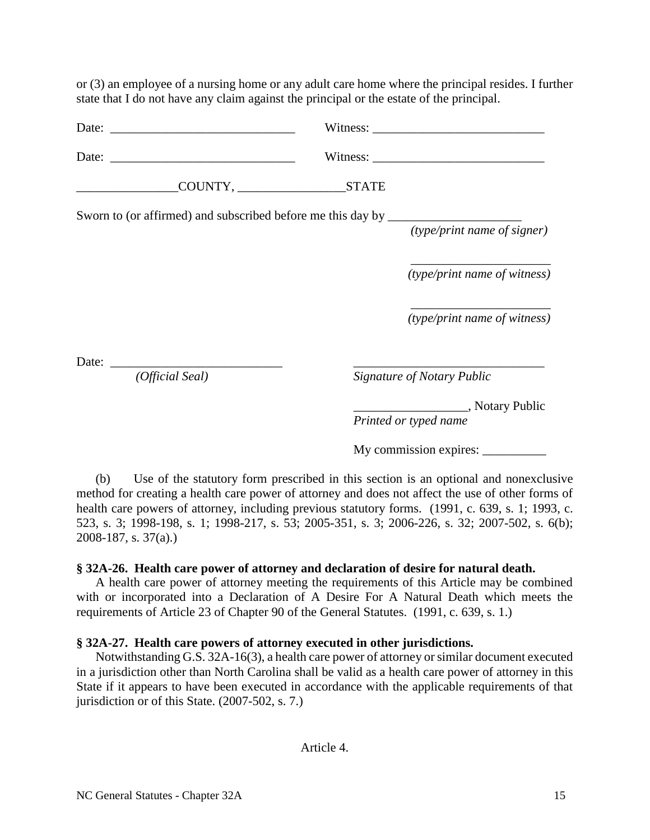or (3) an employee of a nursing home or any adult care home where the principal resides. I further state that I do not have any claim against the principal or the estate of the principal.

|                                                                                                                                                                                                                                                                                                                                                                                                               | Witness: $\frac{1}{\sqrt{1-\frac{1}{2}}\sqrt{1-\frac{1}{2}}\sqrt{1-\frac{1}{2}}\sqrt{1-\frac{1}{2}}\sqrt{1-\frac{1}{2}}\sqrt{1-\frac{1}{2}}\sqrt{1-\frac{1}{2}}\sqrt{1-\frac{1}{2}}\sqrt{1-\frac{1}{2}}\sqrt{1-\frac{1}{2}}\sqrt{1-\frac{1}{2}}\sqrt{1-\frac{1}{2}}\sqrt{1-\frac{1}{2}}\sqrt{1-\frac{1}{2}}\sqrt{1-\frac{1}{2}}\sqrt{1-\frac{1}{2}}\sqrt{1-\frac{1}{2}}\sqrt{1-\frac{1}{2}}\sqrt{1-\frac{1$                                      |
|---------------------------------------------------------------------------------------------------------------------------------------------------------------------------------------------------------------------------------------------------------------------------------------------------------------------------------------------------------------------------------------------------------------|--------------------------------------------------------------------------------------------------------------------------------------------------------------------------------------------------------------------------------------------------------------------------------------------------------------------------------------------------------------------------------------------------------------------------------------------------|
| Date: $\frac{1}{\sqrt{1-\frac{1}{2}}\sqrt{1-\frac{1}{2}}\sqrt{1-\frac{1}{2}}\sqrt{1-\frac{1}{2}}\sqrt{1-\frac{1}{2}}\sqrt{1-\frac{1}{2}}\sqrt{1-\frac{1}{2}}\sqrt{1-\frac{1}{2}}\sqrt{1-\frac{1}{2}}\sqrt{1-\frac{1}{2}}\sqrt{1-\frac{1}{2}}\sqrt{1-\frac{1}{2}}\sqrt{1-\frac{1}{2}}\sqrt{1-\frac{1}{2}}\sqrt{1-\frac{1}{2}}\sqrt{1-\frac{1}{2}}\sqrt{1-\frac{1}{2}}\sqrt{1-\frac{1}{2}}\sqrt{1-\frac{1}{2}}$ | Witness: $\frac{1}{\sqrt{1-\frac{1}{2}} \cdot \frac{1}{2} \cdot \frac{1}{2} \cdot \frac{1}{2} \cdot \frac{1}{2} \cdot \frac{1}{2} \cdot \frac{1}{2} \cdot \frac{1}{2} \cdot \frac{1}{2} \cdot \frac{1}{2} \cdot \frac{1}{2} \cdot \frac{1}{2} \cdot \frac{1}{2} \cdot \frac{1}{2} \cdot \frac{1}{2} \cdot \frac{1}{2} \cdot \frac{1}{2} \cdot \frac{1}{2} \cdot \frac{1}{2} \cdot \frac{1}{2} \cdot \frac{1}{2} \cdot \frac{1}{2} \cdot \frac{1$ |
|                                                                                                                                                                                                                                                                                                                                                                                                               |                                                                                                                                                                                                                                                                                                                                                                                                                                                  |
|                                                                                                                                                                                                                                                                                                                                                                                                               | Sworn to (or affirmed) and subscribed before me this day by ____________________                                                                                                                                                                                                                                                                                                                                                                 |
|                                                                                                                                                                                                                                                                                                                                                                                                               | (type/print name of signer)                                                                                                                                                                                                                                                                                                                                                                                                                      |
|                                                                                                                                                                                                                                                                                                                                                                                                               | (type/print name of witness)                                                                                                                                                                                                                                                                                                                                                                                                                     |
|                                                                                                                                                                                                                                                                                                                                                                                                               | (type/print name of witness)                                                                                                                                                                                                                                                                                                                                                                                                                     |
|                                                                                                                                                                                                                                                                                                                                                                                                               |                                                                                                                                                                                                                                                                                                                                                                                                                                                  |
| (Official Seal)                                                                                                                                                                                                                                                                                                                                                                                               | Signature of Notary Public                                                                                                                                                                                                                                                                                                                                                                                                                       |
|                                                                                                                                                                                                                                                                                                                                                                                                               | Notary Public<br>Printed or typed name                                                                                                                                                                                                                                                                                                                                                                                                           |
|                                                                                                                                                                                                                                                                                                                                                                                                               |                                                                                                                                                                                                                                                                                                                                                                                                                                                  |

method for creating a health care power of attorney and does not affect the use of other forms of health care powers of attorney, including previous statutory forms. (1991, c. 639, s. 1; 1993, c. 523, s. 3; 1998-198, s. 1; 1998-217, s. 53; 2005-351, s. 3; 2006-226, s. 32; 2007-502, s. 6(b); 2008-187, s. 37(a).)

### **§ 32A-26. Health care power of attorney and declaration of desire for natural death.**

A health care power of attorney meeting the requirements of this Article may be combined with or incorporated into a Declaration of A Desire For A Natural Death which meets the requirements of Article 23 of Chapter 90 of the General Statutes. (1991, c. 639, s. 1.)

# **§ 32A-27. Health care powers of attorney executed in other jurisdictions.**

Notwithstanding G.S. 32A-16(3), a health care power of attorney or similar document executed in a jurisdiction other than North Carolina shall be valid as a health care power of attorney in this State if it appears to have been executed in accordance with the applicable requirements of that jurisdiction or of this State. (2007-502, s. 7.)

Article 4.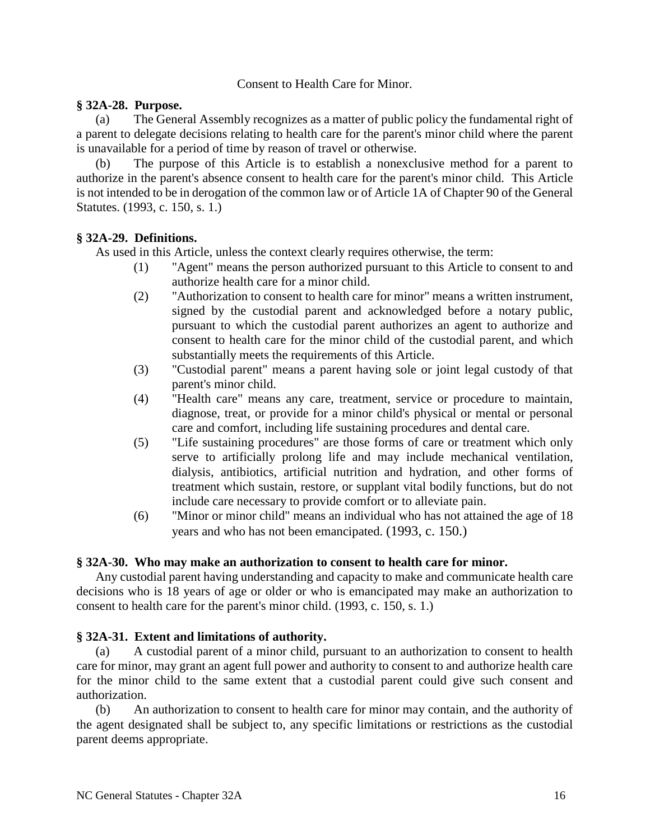### Consent to Health Care for Minor.

### **§ 32A-28. Purpose.**

(a) The General Assembly recognizes as a matter of public policy the fundamental right of a parent to delegate decisions relating to health care for the parent's minor child where the parent is unavailable for a period of time by reason of travel or otherwise.

(b) The purpose of this Article is to establish a nonexclusive method for a parent to authorize in the parent's absence consent to health care for the parent's minor child. This Article is not intended to be in derogation of the common law or of Article 1A of Chapter 90 of the General Statutes. (1993, c. 150, s. 1.)

### **§ 32A-29. Definitions.**

As used in this Article, unless the context clearly requires otherwise, the term:

- (1) "Agent" means the person authorized pursuant to this Article to consent to and authorize health care for a minor child.
- (2) "Authorization to consent to health care for minor" means a written instrument, signed by the custodial parent and acknowledged before a notary public, pursuant to which the custodial parent authorizes an agent to authorize and consent to health care for the minor child of the custodial parent, and which substantially meets the requirements of this Article.
- (3) "Custodial parent" means a parent having sole or joint legal custody of that parent's minor child.
- (4) "Health care" means any care, treatment, service or procedure to maintain, diagnose, treat, or provide for a minor child's physical or mental or personal care and comfort, including life sustaining procedures and dental care.
- (5) "Life sustaining procedures" are those forms of care or treatment which only serve to artificially prolong life and may include mechanical ventilation, dialysis, antibiotics, artificial nutrition and hydration, and other forms of treatment which sustain, restore, or supplant vital bodily functions, but do not include care necessary to provide comfort or to alleviate pain.
- (6) "Minor or minor child" means an individual who has not attained the age of 18 years and who has not been emancipated. (1993, c. 150.)

### **§ 32A-30. Who may make an authorization to consent to health care for minor.**

Any custodial parent having understanding and capacity to make and communicate health care decisions who is 18 years of age or older or who is emancipated may make an authorization to consent to health care for the parent's minor child. (1993, c. 150, s. 1.)

# **§ 32A-31. Extent and limitations of authority.**

(a) A custodial parent of a minor child, pursuant to an authorization to consent to health care for minor, may grant an agent full power and authority to consent to and authorize health care for the minor child to the same extent that a custodial parent could give such consent and authorization.

(b) An authorization to consent to health care for minor may contain, and the authority of the agent designated shall be subject to, any specific limitations or restrictions as the custodial parent deems appropriate.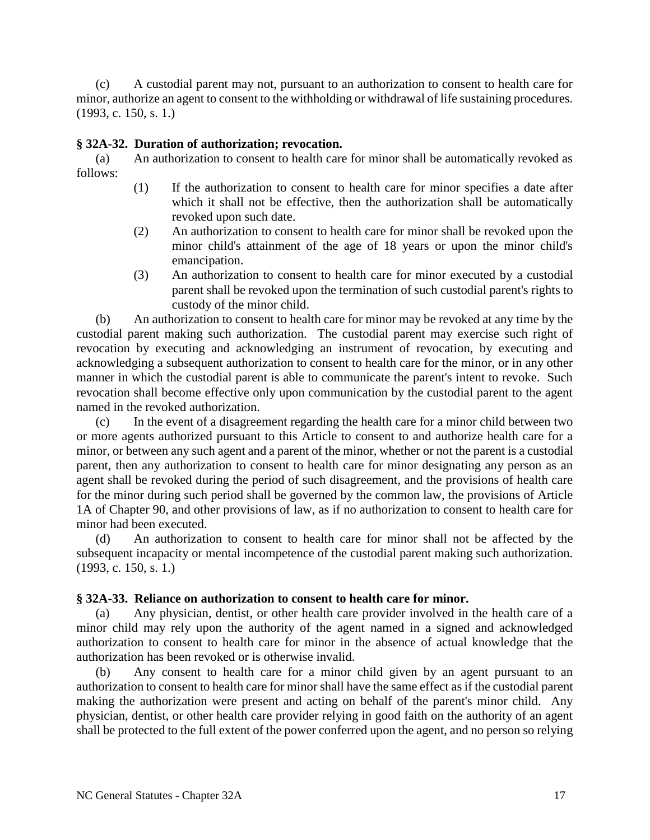(c) A custodial parent may not, pursuant to an authorization to consent to health care for minor, authorize an agent to consent to the withholding or withdrawal of life sustaining procedures. (1993, c. 150, s. 1.)

### **§ 32A-32. Duration of authorization; revocation.**

(a) An authorization to consent to health care for minor shall be automatically revoked as follows:

- (1) If the authorization to consent to health care for minor specifies a date after which it shall not be effective, then the authorization shall be automatically revoked upon such date.
- (2) An authorization to consent to health care for minor shall be revoked upon the minor child's attainment of the age of 18 years or upon the minor child's emancipation.
- (3) An authorization to consent to health care for minor executed by a custodial parent shall be revoked upon the termination of such custodial parent's rights to custody of the minor child.

(b) An authorization to consent to health care for minor may be revoked at any time by the custodial parent making such authorization. The custodial parent may exercise such right of revocation by executing and acknowledging an instrument of revocation, by executing and acknowledging a subsequent authorization to consent to health care for the minor, or in any other manner in which the custodial parent is able to communicate the parent's intent to revoke. Such revocation shall become effective only upon communication by the custodial parent to the agent named in the revoked authorization.

(c) In the event of a disagreement regarding the health care for a minor child between two or more agents authorized pursuant to this Article to consent to and authorize health care for a minor, or between any such agent and a parent of the minor, whether or not the parent is a custodial parent, then any authorization to consent to health care for minor designating any person as an agent shall be revoked during the period of such disagreement, and the provisions of health care for the minor during such period shall be governed by the common law, the provisions of Article 1A of Chapter 90, and other provisions of law, as if no authorization to consent to health care for minor had been executed.

(d) An authorization to consent to health care for minor shall not be affected by the subsequent incapacity or mental incompetence of the custodial parent making such authorization. (1993, c. 150, s. 1.)

### **§ 32A-33. Reliance on authorization to consent to health care for minor.**

(a) Any physician, dentist, or other health care provider involved in the health care of a minor child may rely upon the authority of the agent named in a signed and acknowledged authorization to consent to health care for minor in the absence of actual knowledge that the authorization has been revoked or is otherwise invalid.

(b) Any consent to health care for a minor child given by an agent pursuant to an authorization to consent to health care for minor shall have the same effect as if the custodial parent making the authorization were present and acting on behalf of the parent's minor child. Any physician, dentist, or other health care provider relying in good faith on the authority of an agent shall be protected to the full extent of the power conferred upon the agent, and no person so relying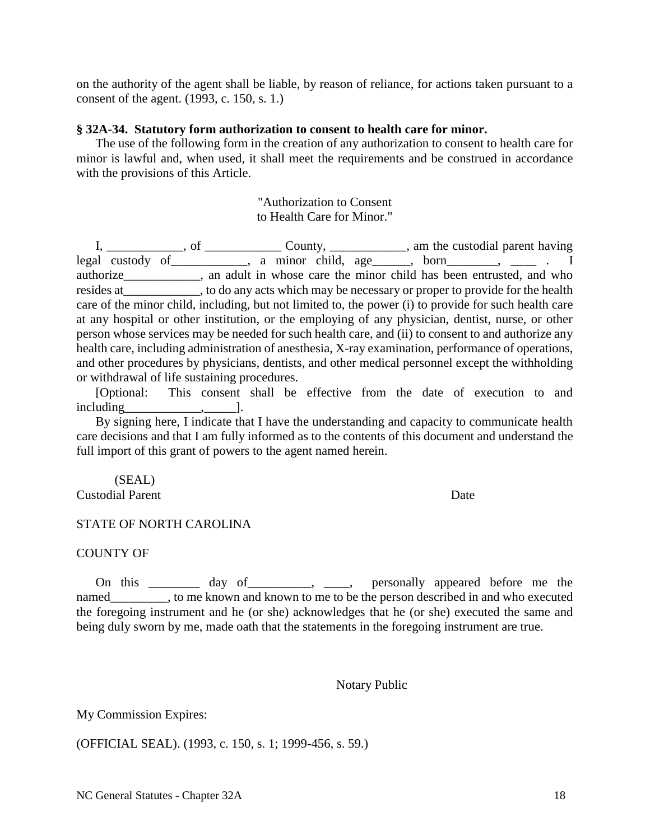on the authority of the agent shall be liable, by reason of reliance, for actions taken pursuant to a consent of the agent. (1993, c. 150, s. 1.)

#### **§ 32A-34. Statutory form authorization to consent to health care for minor.**

The use of the following form in the creation of any authorization to consent to health care for minor is lawful and, when used, it shall meet the requirements and be construed in accordance with the provisions of this Article.

#### "Authorization to Consent to Health Care for Minor."

I, \_\_\_\_\_\_\_\_\_\_\_, of \_\_\_\_\_\_\_\_\_\_\_\_\_\_\_ County, \_\_\_\_\_\_\_\_\_\_\_\_, am the custodial parent having legal custody of  $\qquad$ , a minor child, age  $\qquad$ , born $\qquad$ ,  $\qquad$ authorize  $\frac{1}{\sqrt{2}}$ , an adult in whose care the minor child has been entrusted, and who resides at \_\_\_\_\_\_\_\_\_\_, to do any acts which may be necessary or proper to provide for the health care of the minor child, including, but not limited to, the power (i) to provide for such health care at any hospital or other institution, or the employing of any physician, dentist, nurse, or other person whose services may be needed for such health care, and (ii) to consent to and authorize any health care, including administration of anesthesia, X-ray examination, performance of operations, and other procedures by physicians, dentists, and other medical personnel except the withholding or withdrawal of life sustaining procedures.

[Optional: This consent shall be effective from the date of execution to and including  $\qquad \qquad$ ,  $\qquad$ ].

By signing here, I indicate that I have the understanding and capacity to communicate health care decisions and that I am fully informed as to the contents of this document and understand the full import of this grant of powers to the agent named herein.

(SEAL) Custodial Parent Date

#### STATE OF NORTH CAROLINA

COUNTY OF

On this \_\_\_\_\_\_\_\_ day of \_\_\_\_\_\_\_, \_\_\_, personally appeared before me the named states, to me known and known to me to be the person described in and who executed the foregoing instrument and he (or she) acknowledges that he (or she) executed the same and being duly sworn by me, made oath that the statements in the foregoing instrument are true.

Notary Public

My Commission Expires:

(OFFICIAL SEAL). (1993, c. 150, s. 1; 1999-456, s. 59.)